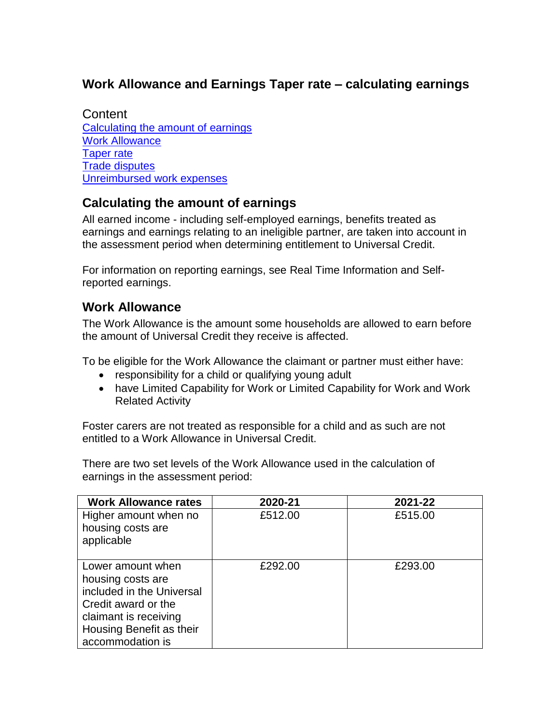# **Work Allowance and Earnings Taper rate – calculating earnings**

**Content** [Calculating the amount of earnings](#page-0-0) [Work Allowance](#page-0-1) [Taper rate](#page-1-0) [Trade disputes](#page-1-1) [Unreimbursed work expenses](#page-1-2)

## <span id="page-0-0"></span>**Calculating the amount of earnings**

All earned income - including self-employed earnings, benefits treated as earnings and earnings relating to an ineligible partner, are taken into account in the assessment period when determining entitlement to Universal Credit.

For information on reporting earnings, see Real Time Information and Selfreported earnings.

#### <span id="page-0-1"></span>**Work Allowance**

The Work Allowance is the amount some households are allowed to earn before the amount of Universal Credit they receive is affected.

To be eligible for the Work Allowance the claimant or partner must either have:

- responsibility for a child or qualifying young adult
- have Limited Capability for Work or Limited Capability for Work and Work Related Activity

Foster carers are not treated as responsible for a child and as such are not entitled to a Work Allowance in Universal Credit.

There are two set levels of the Work Allowance used in the calculation of earnings in the assessment period:

| <b>Work Allowance rates</b>                                                                                                                                         | 2020-21 | 2021-22 |
|---------------------------------------------------------------------------------------------------------------------------------------------------------------------|---------|---------|
| Higher amount when no<br>housing costs are<br>applicable                                                                                                            | £512.00 | £515.00 |
| Lower amount when<br>housing costs are<br>included in the Universal<br>Credit award or the<br>claimant is receiving<br>Housing Benefit as their<br>accommodation is | £292.00 | £293.00 |